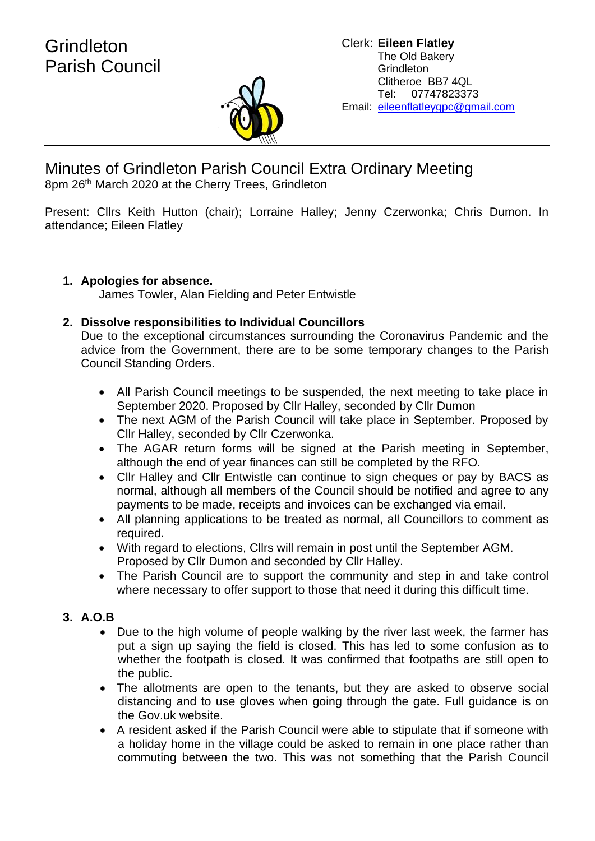

Minutes of Grindleton Parish Council Extra Ordinary Meeting 8pm 26th March 2020 at the Cherry Trees, Grindleton

Present: Cllrs Keith Hutton (chair); Lorraine Halley; Jenny Czerwonka; Chris Dumon. In attendance; Eileen Flatley

## **1. Apologies for absence.**

James Towler, Alan Fielding and Peter Entwistle

## **2. Dissolve responsibilities to Individual Councillors**

Due to the exceptional circumstances surrounding the Coronavirus Pandemic and the advice from the Government, there are to be some temporary changes to the Parish Council Standing Orders.

- All Parish Council meetings to be suspended, the next meeting to take place in September 2020. Proposed by Cllr Halley, seconded by Cllr Dumon
- The next AGM of the Parish Council will take place in September. Proposed by Cllr Halley, seconded by Cllr Czerwonka.
- The AGAR return forms will be signed at the Parish meeting in September, although the end of year finances can still be completed by the RFO.
- Cllr Halley and Cllr Entwistle can continue to sign cheques or pay by BACS as normal, although all members of the Council should be notified and agree to any payments to be made, receipts and invoices can be exchanged via email.
- All planning applications to be treated as normal, all Councillors to comment as required.
- With regard to elections, Cllrs will remain in post until the September AGM. Proposed by Cllr Dumon and seconded by Cllr Halley.
- The Parish Council are to support the community and step in and take control where necessary to offer support to those that need it during this difficult time.

## **3. A.O.B**

- Due to the high volume of people walking by the river last week, the farmer has put a sign up saying the field is closed. This has led to some confusion as to whether the footpath is closed. It was confirmed that footpaths are still open to the public.
- The allotments are open to the tenants, but they are asked to observe social distancing and to use gloves when going through the gate. Full guidance is on the Gov.uk website.
- A resident asked if the Parish Council were able to stipulate that if someone with a holiday home in the village could be asked to remain in one place rather than commuting between the two. This was not something that the Parish Council